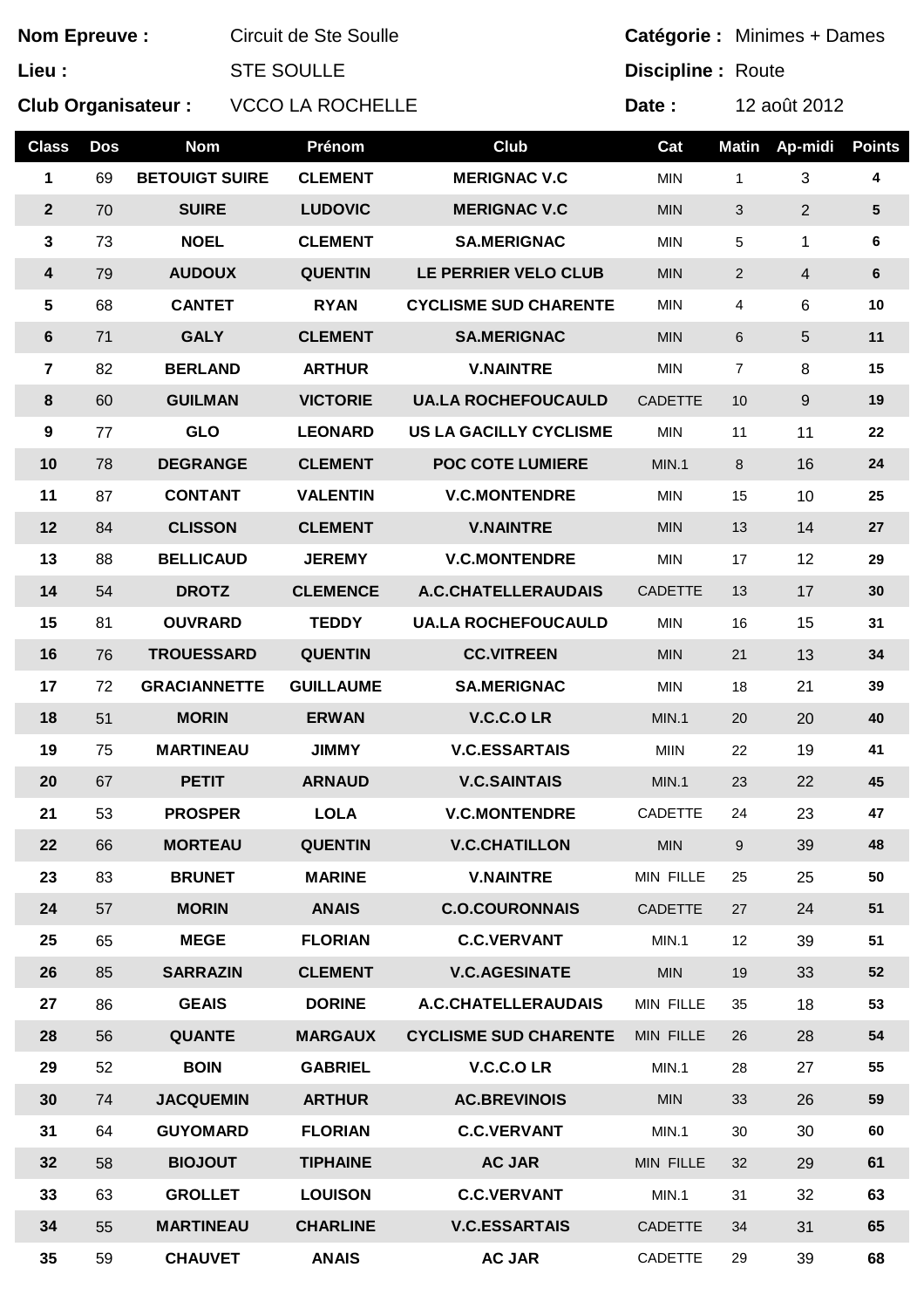| <b>Nom Epreuve:</b> |            |                           | Circuit de Ste Soulle   |                               |                | Catégorie : Minimes + Dames |                |                |
|---------------------|------------|---------------------------|-------------------------|-------------------------------|----------------|-----------------------------|----------------|----------------|
| Lieu :              |            |                           | <b>STE SOULLE</b>       |                               |                | <b>Discipline: Route</b>    |                |                |
|                     |            | <b>Club Organisateur:</b> | <b>VCCO LA ROCHELLE</b> |                               |                |                             | 12 août 2012   |                |
| <b>Class</b>        | <b>Dos</b> | <b>Nom</b>                | Prénom                  | Club                          | Cat            | <b>Matin</b>                | Ap-midi        | <b>Points</b>  |
| 1                   | 69         | <b>BETOUIGT SUIRE</b>     | <b>CLEMENT</b>          | <b>MERIGNAC V.C</b>           | <b>MIN</b>     | $\mathbf{1}$                | 3              | 4              |
| $\overline{2}$      | 70         | <b>SUIRE</b>              | <b>LUDOVIC</b>          | <b>MERIGNAC V.C</b>           | <b>MIN</b>     | 3                           | $\overline{2}$ | ${\bf 5}$      |
| 3                   | 73         | <b>NOEL</b>               | <b>CLEMENT</b>          | <b>SA.MERIGNAC</b>            | <b>MIN</b>     | 5                           | 1              | 6              |
| $\boldsymbol{4}$    | 79         | <b>AUDOUX</b>             | <b>QUENTIN</b>          | LE PERRIER VELO CLUB          | <b>MIN</b>     | $\overline{2}$              | $\overline{4}$ | $6\phantom{a}$ |
| $\sqrt{5}$          | 68         | <b>CANTET</b>             | <b>RYAN</b>             | <b>CYCLISME SUD CHARENTE</b>  | <b>MIN</b>     | 4                           | 6              | 10             |
| 6                   | 71         | <b>GALY</b>               | <b>CLEMENT</b>          | <b>SA.MERIGNAC</b>            | <b>MIN</b>     | 6                           | 5              | 11             |
| 7                   | 82         | <b>BERLAND</b>            | <b>ARTHUR</b>           | <b>V.NAINTRE</b>              | <b>MIN</b>     | $\overline{7}$              | 8              | 15             |
| 8                   | 60         | <b>GUILMAN</b>            | <b>VICTORIE</b>         | <b>UA.LA ROCHEFOUCAULD</b>    | <b>CADETTE</b> | 10                          | 9              | 19             |
| 9                   | 77         | <b>GLO</b>                | <b>LEONARD</b>          | <b>US LA GACILLY CYCLISME</b> | <b>MIN</b>     | 11                          | 11             | 22             |
| 10                  | 78         | <b>DEGRANGE</b>           | <b>CLEMENT</b>          | <b>POC COTE LUMIERE</b>       | MIN.1          | 8                           | 16             | 24             |
| 11                  | 87         | <b>CONTANT</b>            | <b>VALENTIN</b>         | <b>V.C.MONTENDRE</b>          | <b>MIN</b>     | 15                          | 10             | 25             |
| 12                  | 84         | <b>CLISSON</b>            | <b>CLEMENT</b>          | <b>V.NAINTRE</b>              | <b>MIN</b>     | 13                          | 14             | 27             |
| 13                  | 88         | <b>BELLICAUD</b>          | <b>JEREMY</b>           | <b>V.C.MONTENDRE</b>          | <b>MIN</b>     | 17                          | 12             | 29             |
| 14                  | 54         | <b>DROTZ</b>              | <b>CLEMENCE</b>         | A.C.CHATELLERAUDAIS           | <b>CADETTE</b> | 13                          | 17             | 30             |
| 15                  | 81         | <b>OUVRARD</b>            | <b>TEDDY</b>            | <b>UA.LA ROCHEFOUCAULD</b>    | <b>MIN</b>     | 16                          | 15             | 31             |
| 16                  | 76         | <b>TROUESSARD</b>         | <b>QUENTIN</b>          | <b>CC.VITREEN</b>             | <b>MIN</b>     | 21                          | 13             | 34             |
| 17                  | 72         | <b>GRACIANNETTE</b>       | <b>GUILLAUME</b>        | <b>SA.MERIGNAC</b>            | <b>MIN</b>     | 18                          | 21             | 39             |
| 18                  | 51         | <b>MORIN</b>              | <b>ERWAN</b>            | V.C.C.O LR                    | MIN.1          | 20                          | 20             | 40             |
| 19                  | 75         | <b>MARTINEAU</b>          | <b>JIMMY</b>            | <b>V.C.ESSARTAIS</b>          | <b>MIIN</b>    | 22                          | 19             | 41             |
| 20                  | 67         | <b>PETIT</b>              | <b>ARNAUD</b>           | <b>V.C.SAINTAIS</b>           | MIN.1          | 23                          | 22             | 45             |
| 21                  | 53         | <b>PROSPER</b>            | <b>LOLA</b>             | <b>V.C.MONTENDRE</b>          | <b>CADETTE</b> | 24                          | 23             | 47             |
| 22                  | 66         | <b>MORTEAU</b>            | <b>QUENTIN</b>          | <b>V.C.CHATILLON</b>          | <b>MIN</b>     | 9                           | 39             | 48             |
| 23                  | 83         | <b>BRUNET</b>             | <b>MARINE</b>           | <b>V.NAINTRE</b>              | MIN FILLE      | 25                          | 25             | 50             |
| 24                  | 57         | <b>MORIN</b>              | <b>ANAIS</b>            | <b>C.O.COURONNAIS</b>         | <b>CADETTE</b> | 27                          | 24             | 51             |
| 25                  | 65         | <b>MEGE</b>               | <b>FLORIAN</b>          | <b>C.C.VERVANT</b>            | MIN.1          | 12                          | 39             | 51             |
| 26                  | 85         | <b>SARRAZIN</b>           | <b>CLEMENT</b>          | <b>V.C.AGESINATE</b>          | <b>MIN</b>     | 19                          | 33             | 52             |
| 27                  | 86         | <b>GEAIS</b>              | <b>DORINE</b>           | A.C.CHATELLERAUDAIS           | MIN FILLE      | 35                          | 18             | 53             |
| 28                  | 56         | <b>QUANTE</b>             | <b>MARGAUX</b>          | <b>CYCLISME SUD CHARENTE</b>  | MIN FILLE      | 26                          | 28             | 54             |
| 29                  | 52         | <b>BOIN</b>               | <b>GABRIEL</b>          | V.C.C.O LR                    | MIN.1          | 28                          | 27             | 55             |
| 30                  | 74         | <b>JACQUEMIN</b>          | <b>ARTHUR</b>           | <b>AC.BREVINOIS</b>           | <b>MIN</b>     | 33                          | 26             | 59             |
| 31                  | 64         | <b>GUYOMARD</b>           | <b>FLORIAN</b>          | <b>C.C.VERVANT</b>            | MIN.1          | 30                          | 30             | 60             |
| 32                  | 58         | <b>BIOJOUT</b>            | <b>TIPHAINE</b>         | <b>AC JAR</b>                 | MIN FILLE      | 32                          | 29             | 61             |
| 33                  | 63         | <b>GROLLET</b>            | <b>LOUISON</b>          | <b>C.C.VERVANT</b>            | MIN.1          | 31                          | 32             | 63             |
| 34                  | 55         | <b>MARTINEAU</b>          | <b>CHARLINE</b>         | <b>V.C.ESSARTAIS</b>          | <b>CADETTE</b> | 34                          | 31             | 65             |
| 35                  | 59         | <b>CHAUVET</b>            | <b>ANAIS</b>            | <b>AC JAR</b>                 | <b>CADETTE</b> | 29                          | 39             | 68             |